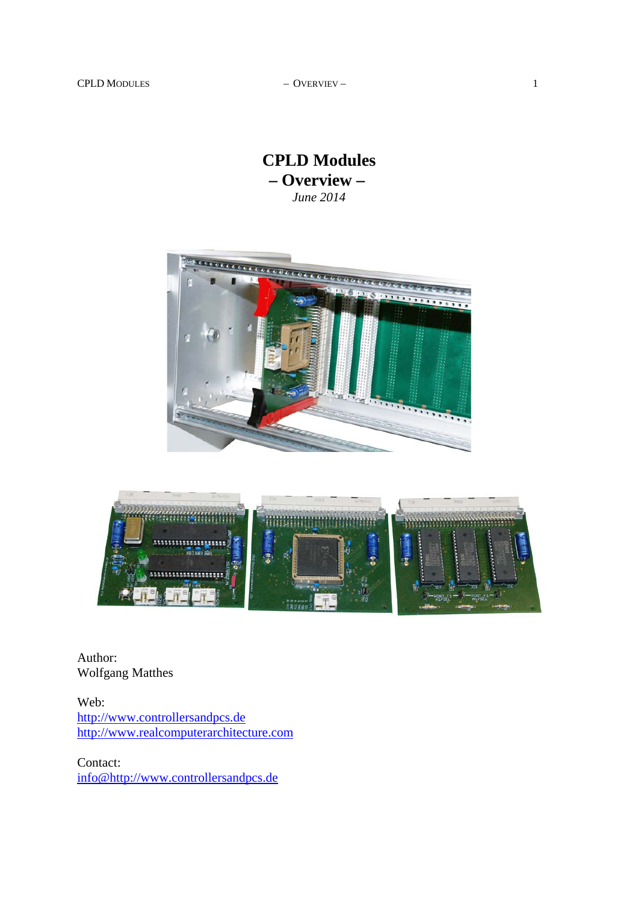**CPLD Modules – Overview –**  *June 2014*





Author: Wolfgang Matthes

Web: http://www.controllersandpcs.de http://www.realcomputerarchitecture.com

Contact: info@http://www.controllersandpcs.de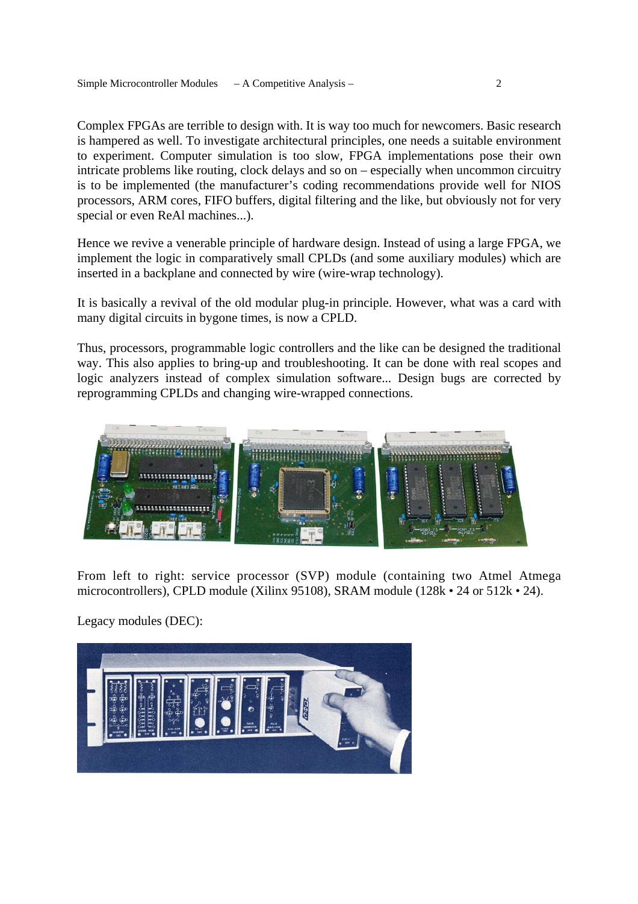Complex FPGAs are terrible to design with. It is way too much for newcomers. Basic research is hampered as well. To investigate architectural principles, one needs a suitable environment to experiment. Computer simulation is too slow, FPGA implementations pose their own intricate problems like routing, clock delays and so on – especially when uncommon circuitry is to be implemented (the manufacturer's coding recommendations provide well for NIOS processors, ARM cores, FIFO buffers, digital filtering and the like, but obviously not for very special or even ReAl machines...).

Hence we revive a venerable principle of hardware design. Instead of using a large FPGA, we implement the logic in comparatively small CPLDs (and some auxiliary modules) which are inserted in a backplane and connected by wire (wire-wrap technology).

It is basically a revival of the old modular plug-in principle. However, what was a card with many digital circuits in bygone times, is now a CPLD.

Thus, processors, programmable logic controllers and the like can be designed the traditional way. This also applies to bring-up and troubleshooting. It can be done with real scopes and logic analyzers instead of complex simulation software... Design bugs are corrected by reprogramming CPLDs and changing wire-wrapped connections.



From left to right: service processor (SVP) module (containing two Atmel Atmega microcontrollers), CPLD module (Xilinx 95108), SRAM module (128k • 24 or 512k • 24).

Legacy modules (DEC):

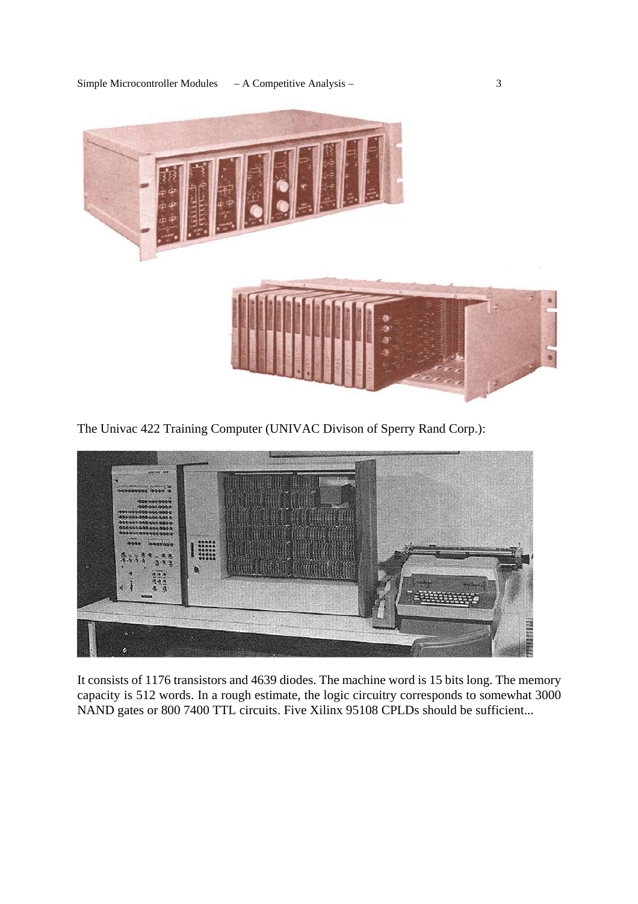

The Univac 422 Training Computer (UNIVAC Divison of Sperry Rand Corp.):



It consists of 1176 transistors and 4639 diodes. The machine word is 15 bits long. The memory capacity is 512 words. In a rough estimate, the logic circuitry corresponds to somewhat 3000 NAND gates or 800 7400 TTL circuits. Five Xilinx 95108 CPLDs should be sufficient...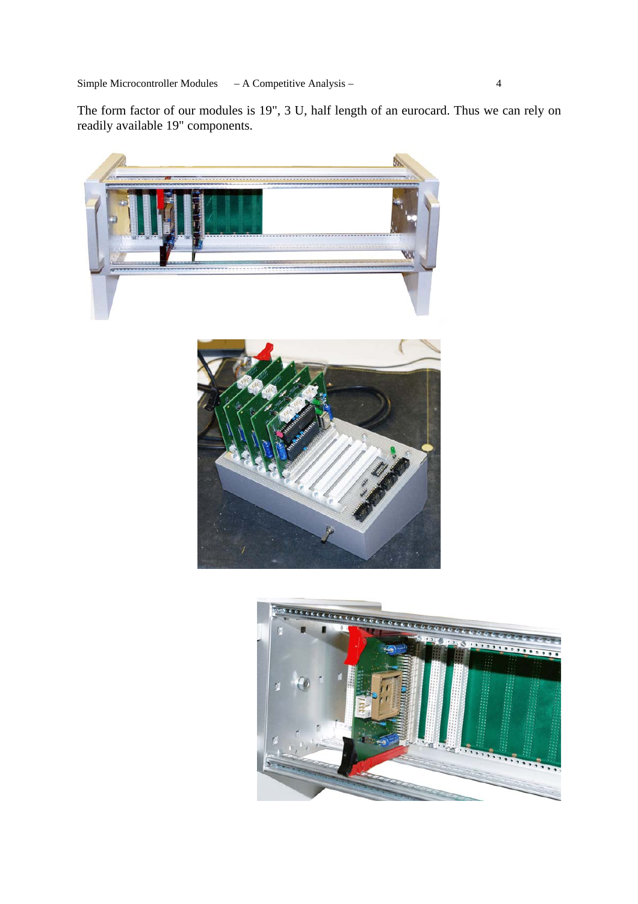Simple Microcontroller Modules – A Competitive Analysis – 4

The form factor of our modules is 19", 3 U, half length of an eurocard. Thus we can rely on readily available 19" components.